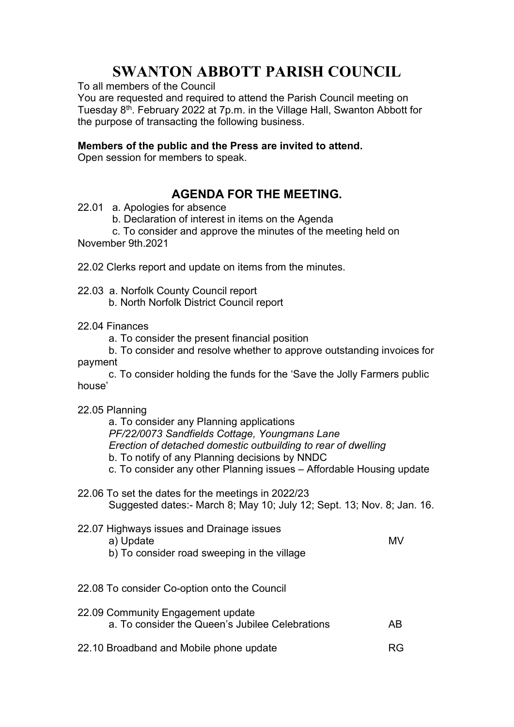## SWANTON ABBOTT PARISH COUNCIL

To all members of the Council

You are requested and required to attend the Parish Council meeting on Tuesday 8th. February 2022 at 7p.m. in the Village Hall, Swanton Abbott for the purpose of transacting the following business.

## Members of the public and the Press are invited to attend.

Open session for members to speak.

## AGENDA FOR THE MEETING.

- 22.01 a. Apologies for absence
	- b. Declaration of interest in items on the Agenda

 c. To consider and approve the minutes of the meeting held on November 9th.2021

22.02 Clerks report and update on items from the minutes.

22.03 a. Norfolk County Council report

- b. North Norfolk District Council report
- 22.04 Finances
	- a. To consider the present financial position
- b. To consider and resolve whether to approve outstanding invoices for payment

 c. To consider holding the funds for the 'Save the Jolly Farmers public house'

22.05 Planning

a. To consider any Planning applications PF/22/0073 Sandfields Cottage, Youngmans Lane Erection of detached domestic outbuilding to rear of dwelling b. To notify of any Planning decisions by NNDC c. To consider any other Planning issues – Affordable Housing update

22.06 To set the dates for the meetings in 2022/23 Suggested dates:- March 8; May 10; July 12; Sept. 13; Nov. 8; Jan. 16.

| 22.07 Highways issues and Drainage issues<br>a) Update<br>b) To consider road sweeping in the village | MV |
|-------------------------------------------------------------------------------------------------------|----|
| 22.08 To consider Co-option onto the Council                                                          |    |
| 22.09 Community Engagement update<br>a. To consider the Queen's Jubilee Celebrations                  |    |

22.10 Broadband and Mobile phone update measure and RG